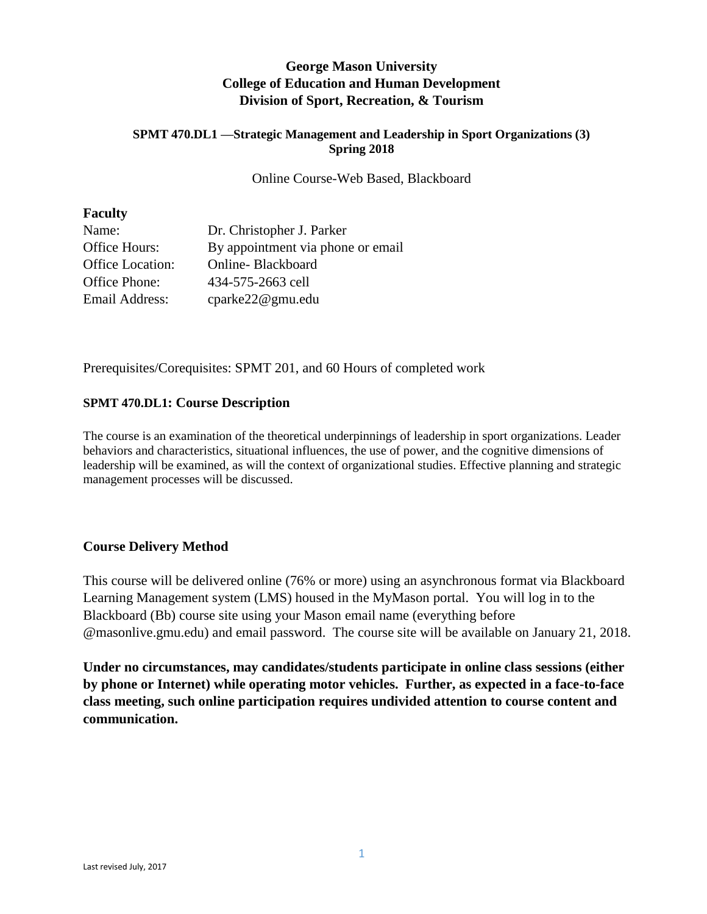# **George Mason University College of Education and Human Development Division of Sport, Recreation, & Tourism**

#### **SPMT 470.DL1 —Strategic Management and Leadership in Sport Organizations (3) Spring 2018**

Online Course-Web Based, Blackboard

#### **Faculty**

| Name:                   | Dr. Christopher J. Parker         |
|-------------------------|-----------------------------------|
| Office Hours:           | By appointment via phone or email |
| <b>Office Location:</b> | Online-Blackboard                 |
| Office Phone:           | 434-575-2663 cell                 |
| Email Address:          | cparke22@gmu.edu                  |

Prerequisites/Corequisites: SPMT 201, and 60 Hours of completed work

#### **SPMT 470.DL1: Course Description**

The course is an examination of the theoretical underpinnings of leadership in sport organizations. Leader behaviors and characteristics, situational influences, the use of power, and the cognitive dimensions of leadership will be examined, as will the context of organizational studies. Effective planning and strategic management processes will be discussed.

## **Course Delivery Method**

This course will be delivered online (76% or more) using an asynchronous format via Blackboard Learning Management system (LMS) housed in the MyMason portal. You will log in to the Blackboard (Bb) course site using your Mason email name (everything before @masonlive.gmu.edu) and email password. The course site will be available on January 21, 2018.

**Under no circumstances, may candidates/students participate in online class sessions (either by phone or Internet) while operating motor vehicles. Further, as expected in a face-to-face class meeting, such online participation requires undivided attention to course content and communication.**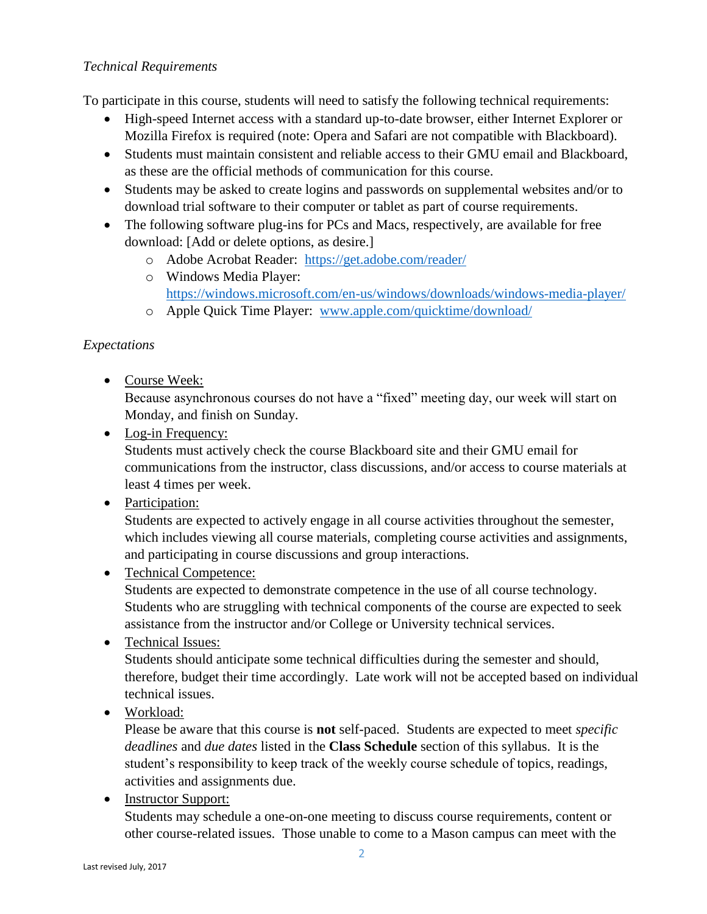## *Technical Requirements*

To participate in this course, students will need to satisfy the following technical requirements:

- High-speed Internet access with a standard up-to-date browser, either Internet Explorer or Mozilla Firefox is required (note: Opera and Safari are not compatible with Blackboard).
- Students must maintain consistent and reliable access to their GMU email and Blackboard, as these are the official methods of communication for this course.
- Students may be asked to create logins and passwords on supplemental websites and/or to download trial software to their computer or tablet as part of course requirements.
- The following software plug-ins for PCs and Macs, respectively, are available for free download: [Add or delete options, as desire.]
	- o Adobe Acrobat Reader: <https://get.adobe.com/reader/>
	- o Windows Media Player: <https://windows.microsoft.com/en-us/windows/downloads/windows-media-player/>
	- o Apple Quick Time Player: [www.apple.com/quicktime/download/](http://www.apple.com/quicktime/download/)

## *Expectations*

Course Week:

Because asynchronous courses do not have a "fixed" meeting day, our week will start on Monday, and finish on Sunday.

- Log-in Frequency: Students must actively check the course Blackboard site and their GMU email for communications from the instructor, class discussions, and/or access to course materials at least 4 times per week.
- Participation:

Students are expected to actively engage in all course activities throughout the semester, which includes viewing all course materials, completing course activities and assignments, and participating in course discussions and group interactions.

• Technical Competence:

Students are expected to demonstrate competence in the use of all course technology. Students who are struggling with technical components of the course are expected to seek assistance from the instructor and/or College or University technical services.

• Technical Issues:

Students should anticipate some technical difficulties during the semester and should, therefore, budget their time accordingly. Late work will not be accepted based on individual technical issues.

• Workload:

Please be aware that this course is **not** self-paced. Students are expected to meet *specific deadlines* and *due dates* listed in the **Class Schedule** section of this syllabus. It is the student's responsibility to keep track of the weekly course schedule of topics, readings, activities and assignments due.

• Instructor Support:

Students may schedule a one-on-one meeting to discuss course requirements, content or other course-related issues. Those unable to come to a Mason campus can meet with the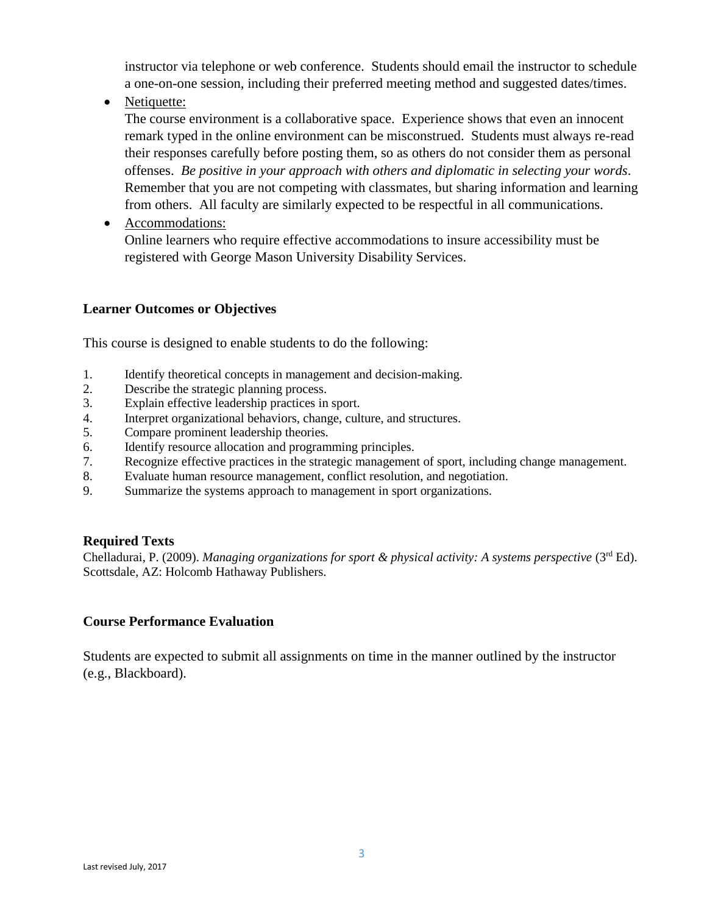instructor via telephone or web conference. Students should email the instructor to schedule a one-on-one session, including their preferred meeting method and suggested dates/times.

• Netiquette:

The course environment is a collaborative space. Experience shows that even an innocent remark typed in the online environment can be misconstrued. Students must always re-read their responses carefully before posting them, so as others do not consider them as personal offenses. *Be positive in your approach with others and diplomatic in selecting your words*. Remember that you are not competing with classmates, but sharing information and learning from others. All faculty are similarly expected to be respectful in all communications.

• Accommodations:

Online learners who require effective accommodations to insure accessibility must be registered with George Mason University Disability Services.

## **Learner Outcomes or Objectives**

This course is designed to enable students to do the following:

- 1. Identify theoretical concepts in management and decision-making.
- 2. Describe the strategic planning process.
- 3. Explain effective leadership practices in sport.
- 4. Interpret organizational behaviors, change, culture, and structures.
- 5. Compare prominent leadership theories.
- 6. Identify resource allocation and programming principles.
- 7. Recognize effective practices in the strategic management of sport, including change management.
- 8. Evaluate human resource management, conflict resolution, and negotiation.
- 9. Summarize the systems approach to management in sport organizations.

#### **Required Texts**

Chelladurai, P. (2009). *Managing organizations for sport & physical activity: A systems perspective* (3<sup>rd</sup> Ed). Scottsdale, AZ: Holcomb Hathaway Publishers.

#### **Course Performance Evaluation**

Students are expected to submit all assignments on time in the manner outlined by the instructor (e.g., Blackboard).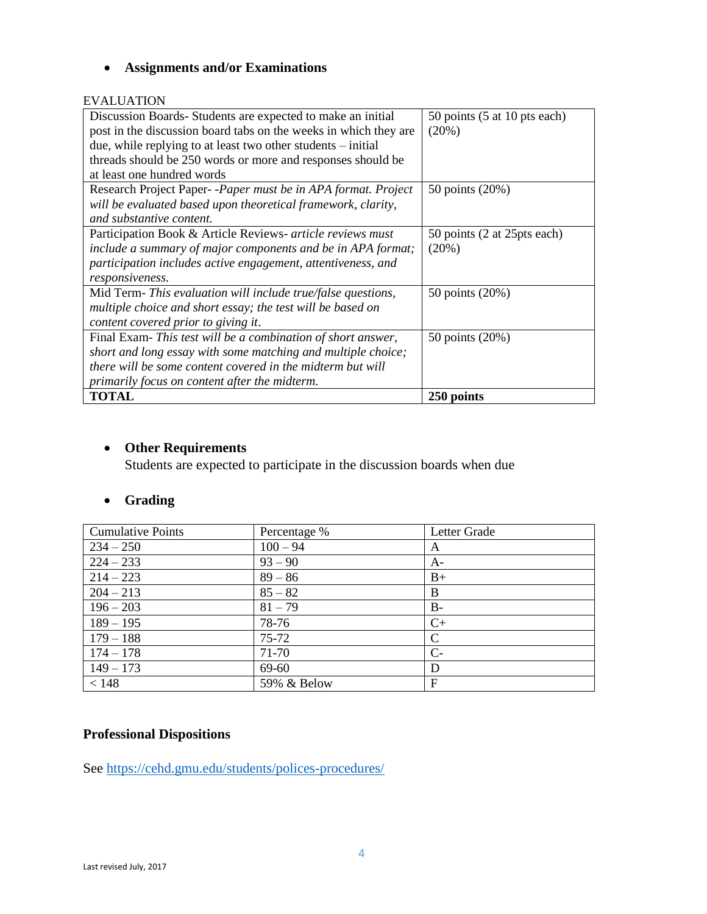# **Assignments and/or Examinations**

#### EVALUATION

| Discussion Boards-Students are expected to make an initial<br>post in the discussion board tabs on the weeks in which they are<br>due, while replying to at least two other students $-$ initial<br>threads should be 250 words or more and responses should be<br>at least one hundred words | 50 points (5 at 10 pts each)<br>(20%) |
|-----------------------------------------------------------------------------------------------------------------------------------------------------------------------------------------------------------------------------------------------------------------------------------------------|---------------------------------------|
| Research Project Paper--Paper must be in APA format. Project<br>will be evaluated based upon theoretical framework, clarity,<br>and substantive content.                                                                                                                                      | 50 points (20%)                       |
| Participation Book & Article Reviews- article reviews must<br>include a summary of major components and be in APA format;<br>participation includes active engagement, attentiveness, and<br>responsiveness.                                                                                  | 50 points (2 at 25 pts each)<br>(20%) |
| Mid Term- This evaluation will include true/false questions,<br>multiple choice and short essay; the test will be based on<br>content covered prior to giving it.                                                                                                                             | 50 points (20%)                       |
| Final Exam-This test will be a combination of short answer,<br>short and long essay with some matching and multiple choice;<br>there will be some content covered in the midterm but will<br>primarily focus on content after the midterm.                                                    | 50 points (20%)                       |
| <b>TOTAL</b>                                                                                                                                                                                                                                                                                  | 250 points                            |

# **Other Requirements**

Students are expected to participate in the discussion boards when due

# **Grading**

| <b>Cumulative Points</b> | Percentage % | Letter Grade |
|--------------------------|--------------|--------------|
| $234 - 250$              | $100 - 94$   | A            |
| $224 - 233$              | $93 - 90$    | A-           |
| $214 - 223$              | $89 - 86$    | $B+$         |
| $204 - 213$              | $85 - 82$    | B            |
| $196 - 203$              | $81 - 79$    | $B-$         |
| $189 - 195$              | 78-76        | $C+$         |
| $179 - 188$              | $75 - 72$    | C            |
| $174 - 178$              | 71-70        | $C-$         |
| $149 - 173$              | 69-60        | D            |
| < 148                    | 59% & Below  | F            |

# **Professional Dispositions**

See<https://cehd.gmu.edu/students/polices-procedures/>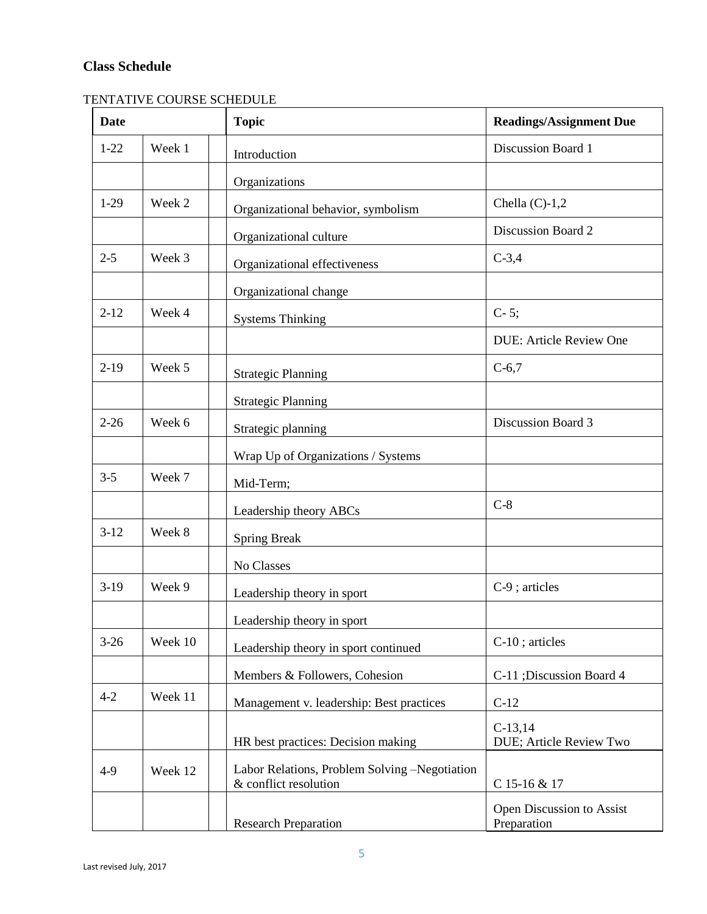# **Class Schedule**

# TENTATIVE COURSE SCHEDULE

| <b>Date</b> |         | <b>Topic</b>                                                           | <b>Readings/Assignment Due</b>           |  |
|-------------|---------|------------------------------------------------------------------------|------------------------------------------|--|
| $1 - 22$    | Week 1  | Introduction                                                           | Discussion Board 1                       |  |
|             |         | Organizations                                                          |                                          |  |
| $1-29$      | Week 2  | Organizational behavior, symbolism                                     | Chella $(C)-1,2$                         |  |
|             |         | Organizational culture                                                 | Discussion Board 2                       |  |
| $2 - 5$     | Week 3  | Organizational effectiveness                                           | $C-3,4$                                  |  |
|             |         | Organizational change                                                  |                                          |  |
| $2 - 12$    | Week 4  | <b>Systems Thinking</b>                                                | $C-5;$                                   |  |
|             |         |                                                                        | <b>DUE: Article Review One</b>           |  |
| $2-19$      | Week 5  | <b>Strategic Planning</b>                                              | $C-6,7$                                  |  |
|             |         | <b>Strategic Planning</b>                                              |                                          |  |
| $2 - 26$    | Week 6  | Strategic planning                                                     | Discussion Board 3                       |  |
|             |         | Wrap Up of Organizations / Systems                                     |                                          |  |
| $3 - 5$     | Week 7  | Mid-Term;                                                              |                                          |  |
|             |         | Leadership theory ABCs                                                 | $C-8$                                    |  |
| $3-12$      | Week 8  | <b>Spring Break</b>                                                    |                                          |  |
|             |         | No Classes                                                             |                                          |  |
| $3-19$      | Week 9  | Leadership theory in sport                                             | $C-9$ ; articles                         |  |
|             |         | Leadership theory in sport                                             |                                          |  |
| $3-26$      | Week 10 | Leadership theory in sport continued                                   | C-10; articles                           |  |
|             |         | Members & Followers, Cohesion                                          | C-11 ; Discussion Board 4                |  |
| $4 - 2$     | Week 11 | Management v. leadership: Best practices                               | $C-12$                                   |  |
|             |         | HR best practices: Decision making                                     | $C-13,14$<br>DUE; Article Review Two     |  |
| $4-9$       | Week 12 | Labor Relations, Problem Solving -Negotiation<br>& conflict resolution | C 15-16 & 17                             |  |
|             |         | <b>Research Preparation</b>                                            | Open Discussion to Assist<br>Preparation |  |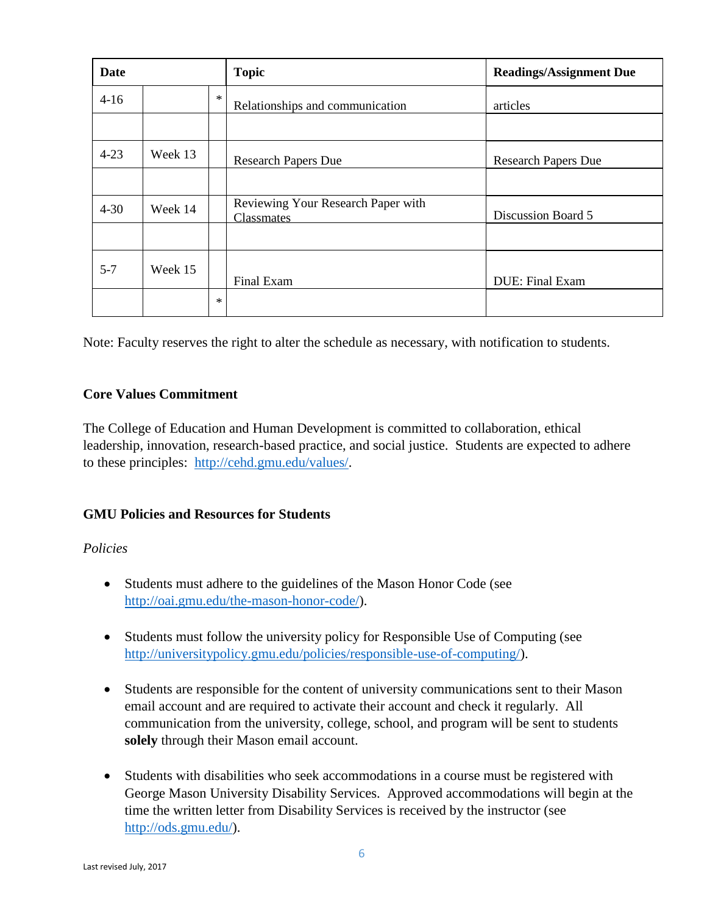| <b>Date</b> |         |         | <b>Topic</b>                                     | <b>Readings/Assignment Due</b> |
|-------------|---------|---------|--------------------------------------------------|--------------------------------|
| $4-16$      |         | $\star$ | Relationships and communication                  | articles                       |
|             |         |         |                                                  |                                |
| $4 - 23$    | Week 13 |         | <b>Research Papers Due</b>                       | <b>Research Papers Due</b>     |
|             |         |         |                                                  |                                |
| $4 - 30$    | Week 14 |         | Reviewing Your Research Paper with<br>Classmates | Discussion Board 5             |
|             |         |         |                                                  |                                |
| $5 - 7$     | Week 15 |         | Final Exam                                       | DUE: Final Exam                |
|             |         | $\ast$  |                                                  |                                |

Note: Faculty reserves the right to alter the schedule as necessary, with notification to students.

## **Core Values Commitment**

The College of Education and Human Development is committed to collaboration, ethical leadership, innovation, research-based practice, and social justice. Students are expected to adhere to these principles: [http://cehd.gmu.edu/values/.](http://cehd.gmu.edu/values/)

## **GMU Policies and Resources for Students**

#### *Policies*

- Students must adhere to the guidelines of the Mason Honor Code (see [http://oai.gmu.edu/the-mason-honor-code/\)](http://oai.gmu.edu/the-mason-honor-code/).
- Students must follow the university policy for Responsible Use of Computing (see [http://universitypolicy.gmu.edu/policies/responsible-use-of-computing/\)](http://universitypolicy.gmu.edu/policies/responsible-use-of-computing/).
- Students are responsible for the content of university communications sent to their Mason email account and are required to activate their account and check it regularly. All communication from the university, college, school, and program will be sent to students **solely** through their Mason email account.
- Students with disabilities who seek accommodations in a course must be registered with George Mason University Disability Services. Approved accommodations will begin at the time the written letter from Disability Services is received by the instructor (see [http://ods.gmu.edu/\)](http://ods.gmu.edu/).